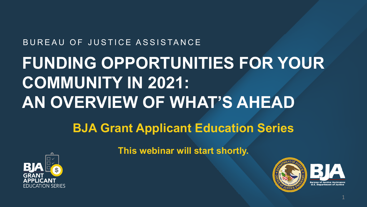#### BUREAU OF JUSTICE ASSISTANCE **FUNDING OPPORTUNITIES FOR YOUR**

# **COMMUNITY IN 2021: AN OVERVIEW OF WHAT'S AHEAD**

#### **BJA Grant Applicant Education Series**



**This webinar will start shortly.** 



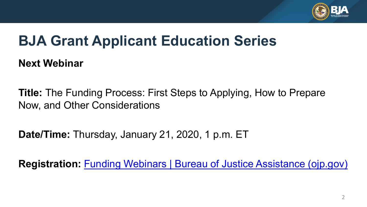

## **BJA Grant Applicant Education Series**

**Next Webinar** 

 **Title:** The Funding Process: First Steps to Applying, How to Prepare Now, and Other Considerations

**Date/Time:** Thursday, January 21, 2020, 1 p.m. ET

**Registration:** [Funding Webinars | Bureau of Justice Assistance \(ojp.gov\)](https://bja.ojp.gov/events/funding-webinars#upcoming-webinars)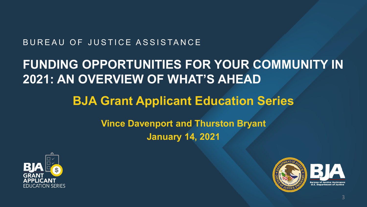#### BUREAU OF JUSTICE ASSISTANCE

#### **2021: AN OVERVIEW OF WHAT'S AHEAD FUNDING OPPORTUNITIES FOR YOUR COMMUNITY IN**

#### **BJA Grant Applicant Education Series**

#### **Vince Davenport and Thurston Bryant January 14, 2021**



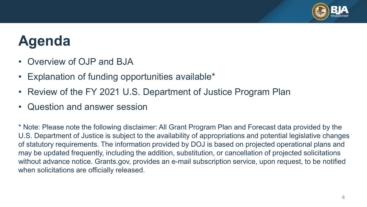

## **Agenda**

- Overview of OJP and BJA
- Explanation of funding opportunities available\*
- Review of the FY 2021 U.S. Department of Justice Program Plan
- Question and answer session

 \* Note: Please note the following disclaimer: All Grant Program Plan and Forecast data provided by the U.S. Department of Justice is subject to the availability of appropriations and potential legislative changes of statutory requirements. The information provided by DOJ is based on projected operational plans and may be updated frequently, including the addition, substitution, or cancellation of projected solicitations without advance notice. [Grants.gov,](https://Grants.gov) provides an e-mail subscription service, upon request, to be notified when solicitations are officially released.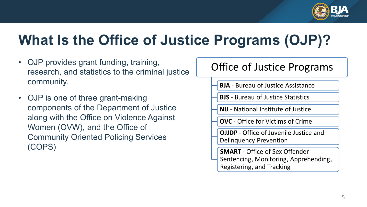

# **What Is the Office of Justice Programs (OJP)?**

- OJP provides grant funding, training, research, and statistics to the criminal justice community.
- OJP is one of three grant-making components of the Department of Justice along with the Office on Violence Against Women (OVW), and the Office of Community Oriented Policing Services (COPS)

#### **Office of Justice Programs**

- **BJA** Bureau of Justice Assistance
- **BJS** Bureau of Justice Statistics
- **NIJ** National Institute of Justice
- **OVC** Office for Victims of Crime
- **OJJDP** Office of Juvenile Justice and **Delinguency Prevention**
- **SMART** Office of Sex Offender Sentencing, Monitoring, Apprehending, Registering, and Tracking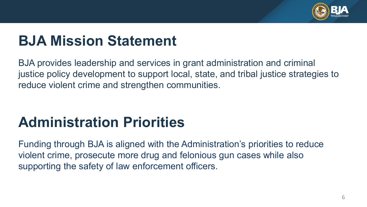

# **BJA Mission Statement**

 BJA provides leadership and services in grant administration and criminal justice policy development to support local, state, and tribal justice strategies to reduce violent crime and strengthen communities.

# **Administration Priorities**

 Funding through BJA is aligned with the Administration's priorities to reduce supporting the safety of law enforcement officers. violent crime, prosecute more drug and felonious gun cases while also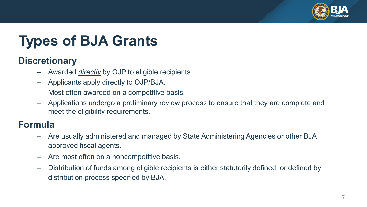

# **Types of BJA Grants**

#### **Discretionary**

- Awarded *directly* by OJP to eligible recipients.
- Applicants apply directly to OJP/BJA.
- Most often awarded on a competitive basis.
- – Applications undergo a preliminary review process to ensure that they are complete and meet the eligibility requirements.

#### **Formula**

- – Are usually administered and managed by State Administering Agencies or other BJA approved fiscal agents.
- Are most often on a noncompetitive basis.
- – Distribution of funds among eligible recipients is either statutorily defined, or defined by distribution process specified by BJA.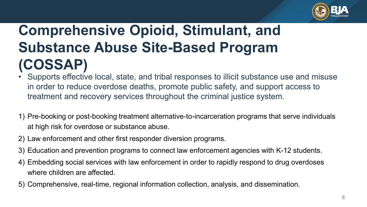

# **Comprehensive Opioid, Stimulant, and Substance Abuse Site-Based Program (COSSAP)**

- Supports effective local, state, and tribal responses to illicit substance use and misuse in order to reduce overdose deaths, promote public safety, and support access to treatment and recovery services throughout the criminal justice system.
- 1) Pre-booking or post-booking treatment alternative-to-incarceration programs that serve individuals at high risk for overdose or substance abuse.
- 2) Law enforcement and other first responder diversion programs.
- 3) Education and prevention programs to connect law enforcement agencies with K-12 students.
- 4) Embedding social services with law enforcement in order to rapidly respond to drug overdoses where children are affected.
- 5) Comprehensive, real-time, regional information collection, analysis, and dissemination.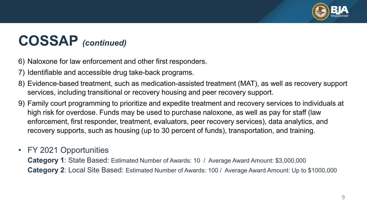

#### **COSSAP** *(continued)*

- 6) Naloxone for law enforcement and other first responders.
- 7) Identifiable and accessible drug take-back programs.
- 8) Evidence-based treatment, such as medication-assisted treatment (MAT), as well as recovery support services, including transitional or recovery housing and peer recovery support.
- 9) Family court programming to prioritize and expedite treatment and recovery services to individuals at high risk for overdose. Funds may be used to purchase naloxone, as well as pay for staff (law enforcement, first responder, treatment, evaluators, peer recovery services), data analytics, and recovery supports, such as housing (up to 30 percent of funds), transportation, and training.
- FY 2021 Opportunities

 **Category 1**: State Based: Estimated Number of Awards: 10 / Average Award Amount: \$3,000,000 **Category 2**: Local Site Based: Estimated Number of Awards: 100 / Average Award Amount: Up to \$1000,000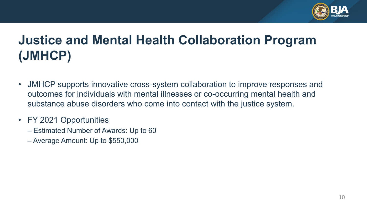

#### **Justice and Mental Health Collaboration Program (JMHCP)**

- outcomes for individuals with mental illnesses or co-occurring mental health and • JMHCP supports innovative cross-system collaboration to improve responses and substance abuse disorders who come into contact with the justice system.
- FY 2021 Opportunities
	- Estimated Number of Awards: Up to 60
	- Average Amount: Up to \$550,000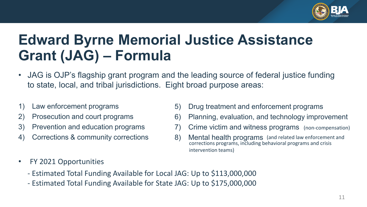

# **Edward Byrne Memorial Justice Assistance Grant (JAG) – Formula**

- • JAG is OJP's flagship grant program and the leading source of federal justice funding to state, local, and tribal jurisdictions. Eight broad purpose areas:
- 
- Prosecution and court programs
- 
- Corrections & community corrections
- 1) Law enforcement programs 5) Drug treatment and enforcement programs
- 2) Prosecution and court programs 6) Planning, evaluation, and technology improvement
- 3) Prevention and education programs 7) Crime victim and witness programs (non-compensation)
- 4) Corrections & community corrections 6) Mental health programs (and related law enforcement and corrections programs, including behavioral programs and crisis intervention teams)
- FY 2021 Opportunities
	- Estimated Total Funding Available for Local JAG: Up to \$113,000,000
	- Estimated Total Funding Available for State JAG: Up to \$175,000,000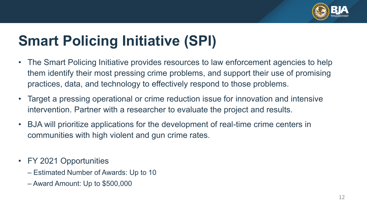

# **Smart Policing Initiative (SPI)**

- The Smart Policing Initiative provides resources to law enforcement agencies to help them identify their most pressing crime problems, and support their use of promising practices, data, and technology to effectively respond to those problems.
- • Target a pressing operational or crime reduction issue for innovation and intensive intervention. Partner with a researcher to evaluate the project and results.
- • BJA will prioritize applications for the development of real-time crime centers in communities with high violent and gun crime rates.
- FY 2021 Opportunities
	- Estimated Number of Awards: Up to 10
	- Award Amount: Up to \$500,000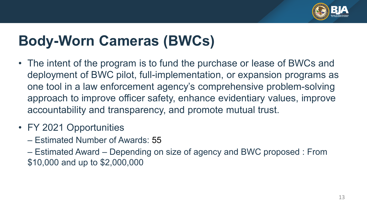

# **Body-Worn Cameras (BWCs)**

- • The intent of the program is to fund the purchase or lease of BWCs and deployment of BWC pilot, full-implementation, or expansion programs as one tool in a law enforcement agency's comprehensive problem-solving approach to improve officer safety, enhance evidentiary values, improve accountability and transparency, and promote mutual trust.
- FY 2021 Opportunities
	- Estimated Number of Awards: 55
	- – Estimated Award Depending on size of agency and BWC proposed : From \$10,000 and up to \$2,000,000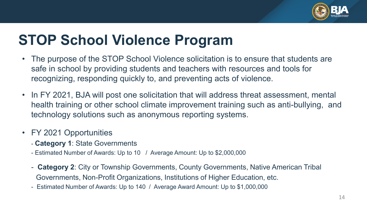

# **STOP School Violence Program**

- • The purpose of the STOP School Violence solicitation is to ensure that students are safe in school by providing students and teachers with resources and tools for recognizing, responding quickly to, and preventing acts of violence.
- • In FY 2021, BJA will post one solicitation that will address threat assessment, mental health training or other school climate improvement training such as anti-bullying, and technology solutions such as anonymous reporting systems.
- FY 2021 Opportunities
	- **Category 1**: State Governments
	- Estimated Number of Awards: Up to 10 / Average Amount: Up to \$2,000,000
	- - **Category 2**: City or Township Governments, County Governments, Native American Tribal Governments, Non-Profit Organizations, Institutions of Higher Education, etc.
	- Estimated Number of Awards: Up to 140 / Average Award Amount: Up to \$1,000,000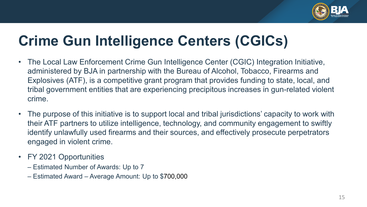

# **Crime Gun Intelligence Centers (CGICs)**

- • The Local Law Enforcement Crime Gun Intelligence Center (CGIC) Integration Initiative, administered by BJA in partnership with the Bureau of Alcohol, Tobacco, Firearms and Explosives (ATF), is a competitive grant program that provides funding to state, local, and tribal government entities that are experiencing precipitous increases in gun-related violent crime.
- their ATF partners to utilize intelligence, technology, and community engagement to swiftly identify unlawfully used firearms and their sources, and effectively prosecute perpetrators • The purpose of this initiative is to support local and tribal jurisdictions' capacity to work with engaged in violent crime.
- FY 2021 Opportunities
	- Estimated Number of Awards: Up to 7
	- Estimated Award Average Amount: Up to \$700,000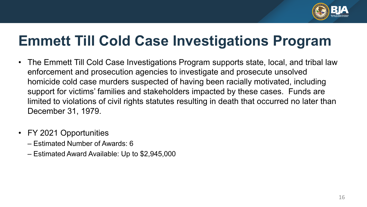

## **Emmett Till Cold Case Investigations Program**

- • The Emmett Till Cold Case Investigations Program supports state, local, and tribal law support for victims' families and stakeholders impacted by these cases. Funds are limited to violations of civil rights statutes resulting in death that occurred no later than enforcement and prosecution agencies to investigate and prosecute unsolved homicide cold case murders suspected of having been racially motivated, including December 31, 1979.
- FY 2021 Opportunities
	- Estimated Number of Awards: 6
	- Estimated Award Available: Up to \$2,945,000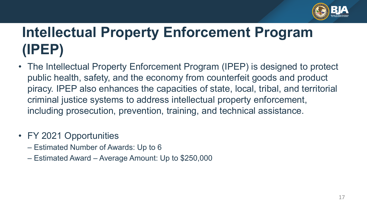

# **Intellectual Property Enforcement Program (IPEP)**

- • The Intellectual Property Enforcement Program (IPEP) is designed to protect public health, safety, and the economy from counterfeit goods and product piracy. IPEP also enhances the capacities of state, local, tribal, and territorial criminal justice systems to address intellectual property enforcement, including prosecution, prevention, training, and technical assistance.
- FY 2021 Opportunities
	- Estimated Number of Awards: Up to 6
	- Estimated Award Average Amount: Up to \$250,000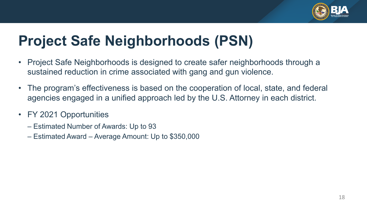

# **Project Safe Neighborhoods (PSN)**

- • Project Safe Neighborhoods is designed to create safer neighborhoods through a sustained reduction in crime associated with gang and gun violence.
- • The program's effectiveness is based on the cooperation of local, state, and federal agencies engaged in a unified approach led by the U.S. Attorney in each district.
- FY 2021 Opportunities
	- Estimated Number of Awards: Up to 93
	- Estimated Award Average Amount: Up to \$350,000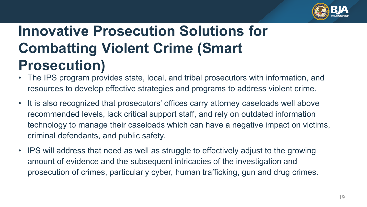

# **Innovative Prosecution Solutions for Combatting Violent Crime (Smart Prosecution)**

- • The IPS program provides state, local, and tribal prosecutors with information, and resources to develop effective strategies and programs to address violent crime.
- • It is also recognized that prosecutors' offices carry attorney caseloads well above recommended levels, lack critical support staff, and rely on outdated information technology to manage their caseloads which can have a negative impact on victims, criminal defendants, and public safety.
- IPS will address that need as well as struggle to effectively adjust to the growing amount of evidence and the subsequent intricacies of the investigation and prosecution of crimes, particularly cyber, human trafficking, gun and drug crimes.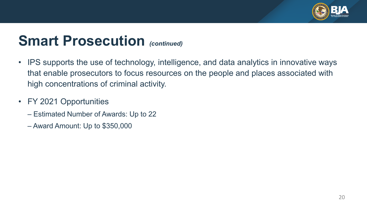

# **Smart Prosecution** *(continued)*

- IPS supports the use of technology, intelligence, and data analytics in innovative ways that enable prosecutors to focus resources on the people and places associated with high concentrations of criminal activity.
- FY 2021 Opportunities
	- Estimated Number of Awards: Up to 22
	- Award Amount: Up to \$350,000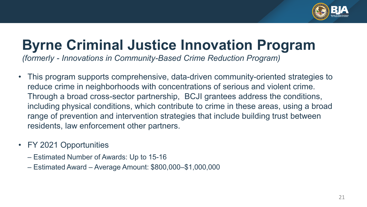

## **Byrne Criminal Justice Innovation Program**

*(formerly - Innovations in Community-Based Crime Reduction Program)* 

- • This program supports comprehensive, data-driven community-oriented strategies to reduce crime in neighborhoods with concentrations of serious and violent crime. Through a broad cross-sector partnership, BCJI grantees address the conditions, including physical conditions, which contribute to crime in these areas, using a broad range of prevention and intervention strategies that include building trust between residents, law enforcement other partners.
- FY 2021 Opportunities
	- Estimated Number of Awards: Up to 15-16
	- Estimated Award Average Amount: \$800,000–\$1,000,000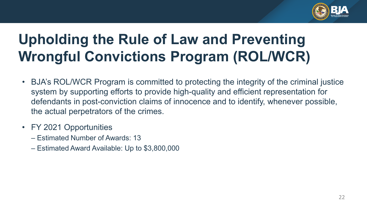

# **Upholding the Rule of Law and Preventing Wrongful Convictions Program (ROL/WCR)**

- • BJA's ROL/WCR Program is committed to protecting the integrity of the criminal justice system by supporting efforts to provide high-quality and efficient representation for defendants in post-conviction claims of innocence and to identify, whenever possible, the actual perpetrators of the crimes.
- FY 2021 Opportunities
	- Estimated Number of Awards: 13
	- Estimated Award Available: Up to \$3,800,000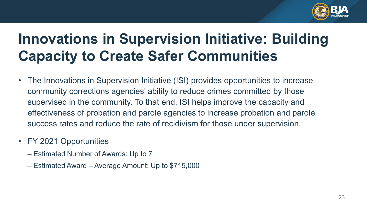

# **Innovations in Supervision Initiative: Building Capacity to Create Safer Communities**

- community corrections agencies' ability to reduce crimes committed by those success rates and reduce the rate of recidivism for those under supervision. • The Innovations in Supervision Initiative (ISI) provides opportunities to increase supervised in the community. To that end, ISI helps improve the capacity and effectiveness of probation and parole agencies to increase probation and parole
- FY 2021 Opportunities
	- Estimated Number of Awards: Up to 7
	- Estimated Award Average Amount: Up to \$715,000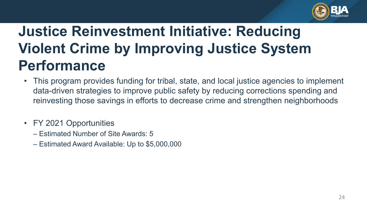

# **Violent Crime by Improving Justice System Justice Reinvestment Initiative: Reducing Performance**

- • This program provides funding for tribal, state, and local justice agencies to implement data-driven strategies to improve public safety by reducing corrections spending and reinvesting those savings in efforts to decrease crime and strengthen neighborhoods
- FY 2021 Opportunities
	- Estimated Number of Site Awards: 5
	- Estimated Award Available: Up to \$5,000,000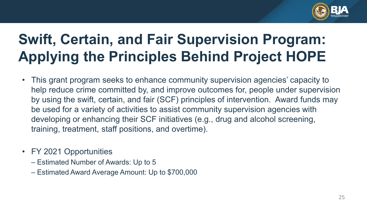

# **Swift, Certain, and Fair Supervision Program: Applying the Principles Behind Project HOPE**

- • This grant program seeks to enhance community supervision agencies' capacity to by using the swift, certain, and fair (SCF) principles of intervention. Award funds may be used for a variety of activities to assist community supervision agencies with help reduce crime committed by, and improve outcomes for, people under supervision developing or enhancing their SCF initiatives (e.g., drug and alcohol screening, training, treatment, staff positions, and overtime).
- FY 2021 Opportunities
	- Estimated Number of Awards: Up to 5
	- Estimated Award Average Amount: Up to \$700,000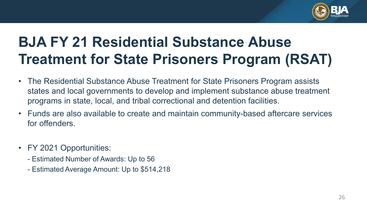

# **BJA FY 21 Residential Substance Abuse Treatment for State Prisoners Program (RSAT)**

- states and local governments to develop and implement substance abuse treatment • The Residential Substance Abuse Treatment for State Prisoners Program assists programs in state, local, and tribal correctional and detention facilities.
- Funds are also available to create and maintain community-based aftercare services for offenders.
- FY 2021 Opportunities:
	- Estimated Number of Awards: Up to 56
	- Estimated Average Amount: Up to \$514,218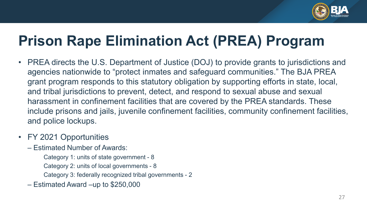

# **Prison Rape Elimination Act (PREA) Program**

- • PREA directs the U.S. Department of Justice (DOJ) to provide grants to jurisdictions and agencies nationwide to "protect inmates and safeguard communities." The BJA PREA grant program responds to this statutory obligation by supporting efforts in state, local, and tribal jurisdictions to prevent, detect, and respond to sexual abuse and sexual harassment in confinement facilities that are covered by the PREA standards. These include prisons and jails, juvenile confinement facilities, community confinement facilities, and police lockups.
- FY 2021 Opportunities
	- – Estimated Number of Awards:
		- Category 1: units of state government 8
		- Category 2: units of local governments 8
		- Category 3: federally recognized tribal governments 2
	- Estimated Award –up to \$250,000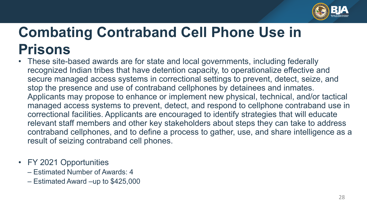

# **Combating Contraband Cell Phone Use in Prisons**

- secure managed access systems in correctional settings to prevent, detect, seize, and stop the presence and use of contraband cellphones by detainees and inmates. Applicants may propose to enhance or implement new physical, technical, and/or tactical managed access systems to prevent, detect, and respond to cellphone contraband use in relevant staff members and other key stakeholders about steps they can take to address • These site-based awards are for state and local governments, including federally recognized Indian tribes that have detention capacity, to operationalize effective and correctional facilities. Applicants are encouraged to identify strategies that will educate contraband cellphones, and to define a process to gather, use, and share intelligence as a result of seizing contraband cell phones.
- FY 2021 Opportunities
	- Estimated Number of Awards: 4
	- Estimated Award –up to \$425,000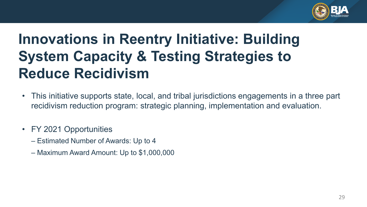

# **Innovations in Reentry Initiative: Building System Capacity & Testing Strategies to Reduce Recidivism**

- This initiative supports state, local, and tribal jurisdictions engagements in a three part recidivism reduction program: strategic planning, implementation and evaluation.
- FY 2021 Opportunities
	- Estimated Number of Awards: Up to 4
	- Maximum Award Amount: Up to \$1,000,000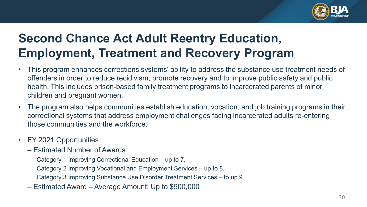

#### **Second Chance Act Adult Reentry Education, Employment, Treatment and Recovery Program**

- • This program enhances corrections systems' ability to address the substance use treatment needs of offenders in order to reduce recidivism, promote recovery and to improve public safety and public health. This includes prison-based family treatment programs to incarcerated parents of minor children and pregnant women.
- • The program also helps communities establish education, vocation, and job training programs in their correctional systems that address employment challenges facing incarcerated adults re-entering those communities and the workforce.
- FY 2021 Opportunities
	- – Estimated Number of Awards:
		- Category 1 Improving Correctional Education up to 7,
		- Category 2 Improving Vocational and Employment Services up to 8,
		- Category 3 Improving Substance Use Disorder Treatment Services to up 9
	- Estimated Award Average Amount: Up to \$900,000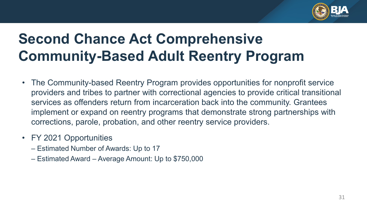

# **Community-Based Adult Reentry Program Second Chance Act Comprehensive**

- providers and tribes to partner with correctional agencies to provide critical transitional services as offenders return from incarceration back into the community. Grantees implement or expand on reentry programs that demonstrate strong partnerships with corrections, parole, probation, and other reentry service providers. • The Community-based Reentry Program provides opportunities for nonprofit service
- FY 2021 Opportunities
	- Estimated Number of Awards: Up to 17
	- Estimated Award Average Amount: Up to \$750,000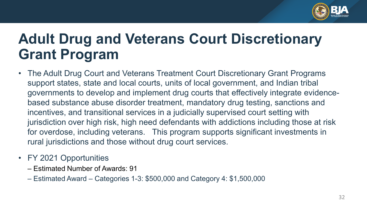

# **Adult Drug and Veterans Court Discretionary Grant Program**

- support states, state and local courts, units of local government, and Indian tribal for overdose, including veterans. This program supports significant investments in • The Adult Drug Court and Veterans Treatment Court Discretionary Grant Programs governments to develop and implement drug courts that effectively integrate evidencebased substance abuse disorder treatment, mandatory drug testing, sanctions and incentives, and transitional services in a judicially supervised court setting with jurisdiction over high risk, high need defendants with addictions including those at risk rural jurisdictions and those without drug court services.
- FY 2021 Opportunities
	- Estimated Number of Awards: 91
	- Estimated Award Categories 1-3: \$500,000 and Category 4: \$1,500,000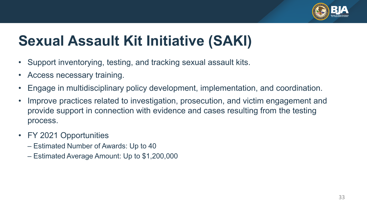

# **Sexual Assault Kit Initiative (SAKI)**

- Support inventorying, testing, and tracking sexual assault kits.
- Access necessary training.
- Engage in multidisciplinary policy development, implementation, and coordination.
- Improve practices related to investigation, prosecution, and victim engagement and provide support in connection with evidence and cases resulting from the testing process.
- FY 2021 Opportunities
	- Estimated Number of Awards: Up to 40
	- Estimated Average Amount: Up to \$1,200,000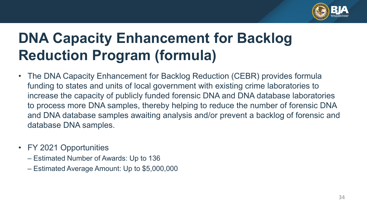

# **DNA Capacity Enhancement for Backlog Reduction Program (formula)**

- funding to states and units of local government with existing crime laboratories to increase the capacity of publicly funded forensic DNA and DNA database laboratories to process more DNA samples, thereby helping to reduce the number of forensic DNA • The DNA Capacity Enhancement for Backlog Reduction (CEBR) provides formula and DNA database samples awaiting analysis and/or prevent a backlog of forensic and database DNA samples.
- FY 2021 Opportunities
	- Estimated Number of Awards: Up to 136
	- Estimated Average Amount: Up to \$5,000,000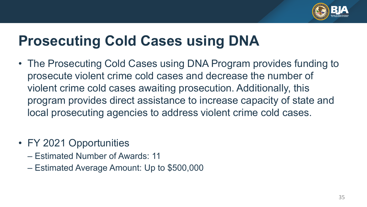

## **Prosecuting Cold Cases using DNA**

- • The Prosecuting Cold Cases using DNA Program provides funding to prosecute violent crime cold cases and decrease the number of violent crime cold cases awaiting prosecution. Additionally, this program provides direct assistance to increase capacity of state and local prosecuting agencies to address violent crime cold cases.
- FY 2021 Opportunities
	- Estimated Number of Awards: 11
	- Estimated Average Amount: Up to \$500,000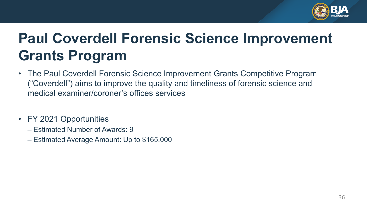

# **Paul Coverdell Forensic Science Improvement Grants Program**

- medical examiner/coroner's offices services • The Paul Coverdell Forensic Science Improvement Grants Competitive Program ("Coverdell") aims to improve the quality and timeliness of forensic science and
- FY 2021 Opportunities
	- Estimated Number of Awards: 9
	- Estimated Average Amount: Up to \$165,000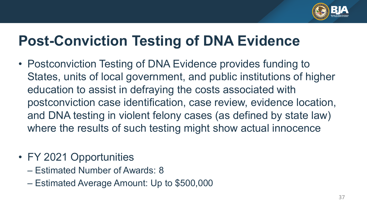

## **Post-Conviction Testing of DNA Evidence**

- • Postconviction Testing of DNA Evidence provides funding to States, units of local government, and public institutions of higher and DNA testing in violent felony cases (as defined by state law) education to assist in defraying the costs associated with postconviction case identification, case review, evidence location, where the results of such testing might show actual innocence
- FY 2021 Opportunities
	- Estimated Number of Awards: 8
	- Estimated Average Amount: Up to \$500,000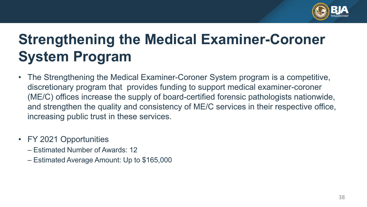

# **Strengthening the Medical Examiner-Coroner System Program**

- • The Strengthening the Medical Examiner-Coroner System program is a competitive, discretionary program that provides funding to support medical examiner-coroner and strengthen the quality and consistency of ME/C services in their respective office, (ME/C) offices increase the supply of board-certified forensic pathologists nationwide, increasing public trust in these services.
- FY 2021 Opportunities
	- Estimated Number of Awards: 12
	- Estimated Average Amount: Up to \$165,000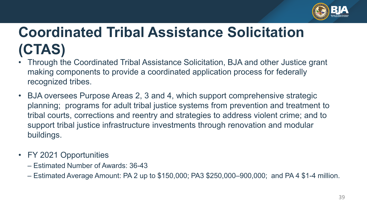

# **Coordinated Tribal Assistance Solicitation (CTAS)**

- • Through the Coordinated Tribal Assistance Solicitation, BJA and other Justice grant making components to provide a coordinated application process for federally recognized tribes.
- planning; programs for adult tribal justice systems from prevention and treatment to • BJA oversees Purpose Areas 2, 3 and 4, which support comprehensive strategic tribal courts, corrections and reentry and strategies to address violent crime; and to support tribal justice infrastructure investments through renovation and modular buildings.
- FY 2021 Opportunities
	- Estimated Number of Awards: 36-43
	- Estimated Average Amount: PA 2 up to \$150,000; PA3 \$250,000–900,000; and PA 4 \$1-4 million.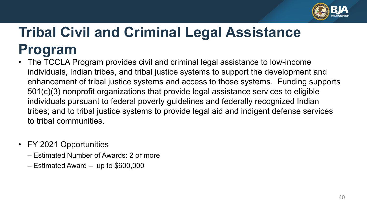

# **Tribal Civil and Criminal Legal Assistance Program**

- • The TCCLA Program provides civil and criminal legal assistance to low-income individuals pursuant to federal poverty guidelines and federally recognized Indian individuals, Indian tribes, and tribal justice systems to support the development and enhancement of tribal justice systems and access to those systems. Funding supports 501(c)(3) nonprofit organizations that provide legal assistance services to eligible tribes; and to tribal justice systems to provide legal aid and indigent defense services to tribal communities.
- FY 2021 Opportunities
	- Estimated Number of Awards: 2 or more
	- Estimated Award up to \$600,000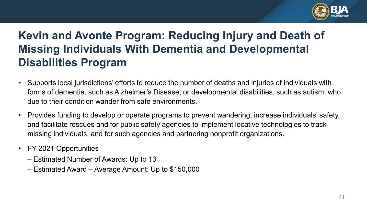

#### **Kevin and Avonte Program: Reducing Injury and Death of Missing Individuals With Dementia and Developmental Disabilities Program**

- • Supports local jurisdictions' efforts to reduce the number of deaths and injuries of individuals with forms of dementia, such as Alzheimer's Disease, or developmental disabilities, such as autism, who due to their condition wander from safe environments.
- • Provides funding to develop or operate programs to prevent wandering, increase individuals' safety, and facilitate rescues and for public safety agencies to implement locative technologies to track missing individuals, and for such agencies and partnering nonprofit organizations.
- FY 2021 Opportunities
	- Estimated Number of Awards: Up to 13
	- Estimated Award Average Amount: Up to \$150,000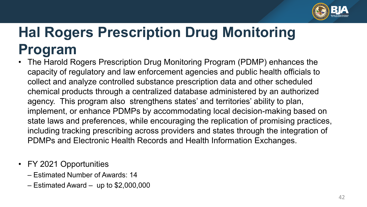

# **Hal Rogers Prescription Drug Monitoring Program**

- capacity of regulatory and law enforcement agencies and public health officials to implement, or enhance PDMPs by accommodating local decision-making based on • The Harold Rogers Prescription Drug Monitoring Program (PDMP) enhances the collect and analyze controlled substance prescription data and other scheduled chemical products through a centralized database administered by an authorized agency. This program also strengthens states' and territories' ability to plan, state laws and preferences, while encouraging the replication of promising practices, including tracking prescribing across providers and states through the integration of PDMPs and Electronic Health Records and Health Information Exchanges.
- FY 2021 Opportunities
	- Estimated Number of Awards: 14
	- Estimated Award up to \$2,000,000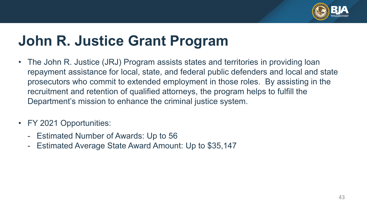

# **John R. Justice Grant Program**

- • The John R. Justice (JRJ) Program assists states and territories in providing loan recruitment and retention of qualified attorneys, the program helps to fulfill the repayment assistance for local, state, and federal public defenders and local and state prosecutors who commit to extended employment in those roles. By assisting in the Department's mission to enhance the criminal justice system.
- FY 2021 Opportunities:
	- Estimated Number of Awards: Up to 56
	- Estimated Average State Award Amount: Up to \$35,147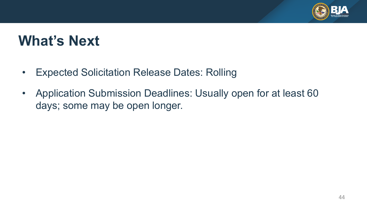

#### **What's Next**

- Expected Solicitation Release Dates: Rolling
- • Application Submission Deadlines: Usually open for at least 60 days; some may be open longer.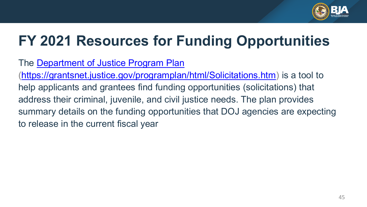

# **FY 2021 Resources for Funding Opportunities**

#### The [Department of Justice Program Plan](https://grantsnet.justice.gov/programplan/html/Home.htm)

 help applicants and grantees find funding opportunities (solicitations) that address their criminal, juvenile, and civil justice needs. The plan provides summary details on the funding opportunities that DOJ agencies are expecting (<https://grantsnet.justice.gov/programplan/html/Solicitations.htm>) is a tool to to release in the current fiscal year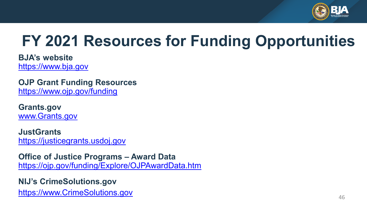

# **FY 2021 Resources for Funding Opportunities**

**BJA's website**  [https://www.bja.gov](https://www.bja.gov/)

**OJP Grant Funding Resources** <https://www.ojp.gov/funding>

**Grants.gov** [www.Grants.gov](http://www.grants.gov/) 

**JustGrants**  [https://justicegrants.usdoj.gov](https://justicegrants.usdoj.gov/) 

 **Office of Justice Programs – Award Data**  <https://ojp.gov/funding/Explore/OJPAwardData.htm>

**NIJ's [CrimeSolutions.gov](https://CrimeSolutions.gov)**  [https://www.CrimeSolutions.gov](https://www.crimesolutions.gov/) 46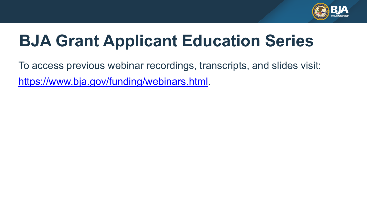

# **BJA Grant Applicant Education Series**

 To access previous webinar recordings, transcripts, and slides visit: <https://www.bja.gov/funding/webinars.html>.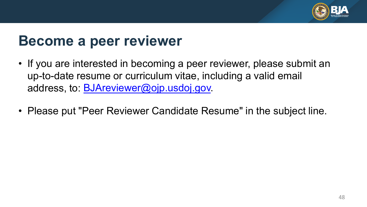

#### **Become a peer reviewer**

- • If you are interested in becoming a peer reviewer, please submit an up-to-date resume or curriculum vitae, including a valid email address, to: <u>BJAreviewer@ojp.usdoj.gov</u>.
- Please put "Peer Reviewer Candidate Resume" in the subject line.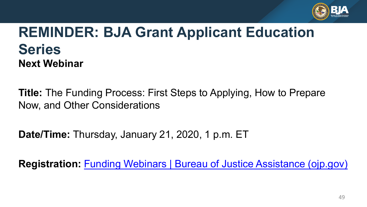

#### **REMINDER: BJA Grant Applicant Education Series Next Webinar**

 **Title:** The Funding Process: First Steps to Applying, How to Prepare Now, and Other Considerations

**Date/Time:** Thursday, January 21, 2020, 1 p.m. ET

**Registration:** [Funding Webinars | Bureau of Justice Assistance \(ojp.gov\)](https://bja.ojp.gov/events/funding-webinars#upcoming-webinars)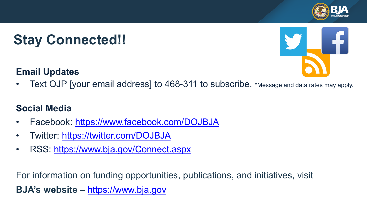# **Stay Connected!!**

#### **Email Updates**



• Text OJP [your email address] to 468-311 to subscribe. \*Message and data rates may apply.

#### **Social Media**

- Facebook: <https://www.facebook.com/DOJBJA>
- Twitter: https://twitter.com/DOJBJA
- RSS: <https://www.bja.gov/Connect.aspx>

For information on funding opportunities, publications, and initiatives, visit **BJA's website –** [https://www.bja.gov](https://www.bja.gov/)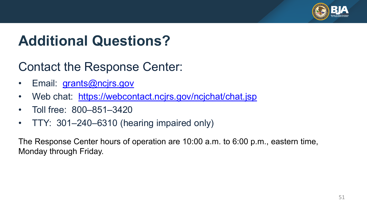

# **Additional Questions?**

#### Contact the Response Center:

- Email: <u>grants@ncjrs.gov</u>
- Web chat: <u><https://webcontact.ncjrs.gov/ncjchat/chat.jsp></u>
- Toll free: 800–851–3420
- TTY: 301–240–6310 (hearing impaired only)

 The Response Center hours of operation are 10:00 a.m. to 6:00 p.m., eastern time, Monday through Friday.